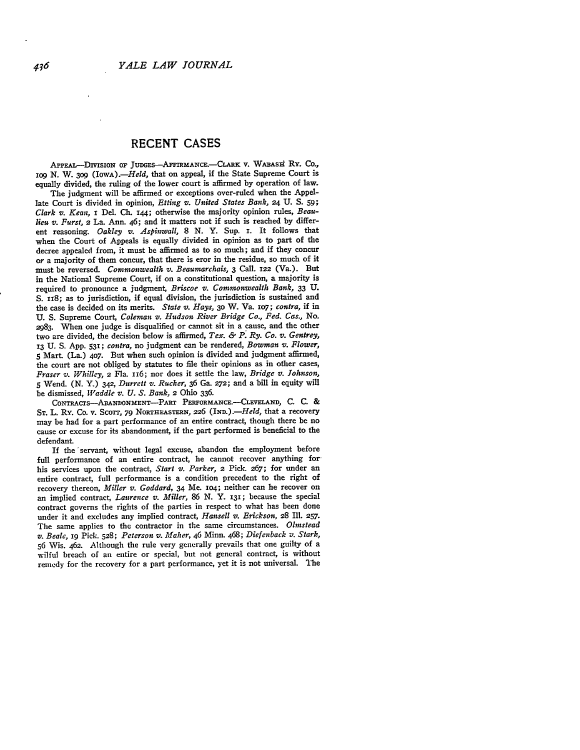## **RECENT CASES**

APPEAL-DIVISION OF JUDGES-AFFIRMANCE.-CLARK V. WABASH RY. Co., *xO9* N. W. *3o9 (IowA).-Held,* that on appeal, if the State Supreme Court is equally divided, the ruling of the lower court is affirmed by operation of law.

The judgment will be affirmed or exceptions over-ruled when the Appellate Court is divided in opinion, *Etting v. United States Bank,* **24** U. **S. 59;** *Clark v. Kean,* i Del. Ch. 144; otherwise the majority opinion rules, *Beaulieu v. Furst,* 2 La. Ann. 46; and it matters not if such is reached by different reasoning. Oakley v. Aspinwall, 8 N. Y. Sup. I. It follows that when the Court of Appeals is equally divided in opinion as to part of the decree appealed from, it must be affirmed as to so much; and if they concur or a majority of them concur, that there is eror in the residue, so much of it must be reversed. *Commonwealth v. Beaumarchais,* 3 Call. **122** (Va.). But in the National Supreme Court, if on a constitutional question, a majority is required to pronounce a judgment, *Briscoe v. Commonwealth Bank,* 33 U. S. 118; as to jurisdiction, if equal division, the jurisdiction is sustained and the case is decided on its merits. *State v. Hays,* **30** W. Va. **1o7;** *contra,* if in **U. S.** Supreme Court, *Coleman v. Hudson River Bridge Co., Fed. Cas.,* No. **2983.** When one judge is disqualified or cannot sit in a cause, and the other two are divided, the decision below is affirmed, *Tex. & P. Ry. Co. v. Gentrey,* **13 U. S. App. 5,31;** *contra,* no judgment can be rendered, *Bowman v. Flower,* **5** Mart. (La.) **407.** But when such opinion is divided and judgment affirmed, the court are not obliged **by** statutes to file their opinions as in other cases, *Fraser v. Whilley,* 2 Fla. 116; nor does it settle the law, *Bridge v. Johnson,* **5** Vend. (N. Y.) 342, *Durrett v. Rucker,* 36 Ga. **272;** and a bill in equity will be dismissed, *Waddle v. U. S. Bank,* 2 Ohio 336.

CONTRACTs-ABAND)ONMENT-PART PERFORMANCE.-CLEVELAND, **C.** C. **&** ST. L. Ry. Co. v. Scott, 79 NORTHEASTERN, 226 (IND.). - *Held*, that a recovery may be had for a part performance of an entire contract, though there be no cause or excuse for its abandonment, if the part performed is beneficial to the defendant.

If the servant, without legal excuse, abandon the employment before full performance of an entire contract, he cannot recover anything for his services upon the contract, *Start v. Parker,* **2** Pick. 267; for under an entire contract, full performance is a condition precedent to the right of recovery thereon, *Miller v. Goddard,* 34 Me. **Io4;** neither can he recover on an implied contract, *Laurence v. Miller,* 86 N. Y. **131;** because the special contract governs the rights of the parties in respect to what has been done under it and excludes any implied contract, *Hansell v. Erickson,* **28** Ill. **257.** The same applies to the contractor in the same circumstances. *Olmstead v. Beale,* **19** Pick. 528; *Peterson v. Maher,* 46 Minn. 468; *Diefenback v. Stark,* 56 Wis. 462. Although the rule very generally prevails that one guilty of a wilful breach of an entire or special, but not general contract, is without remedy for the recovery for a part performance, yet it is not universal. The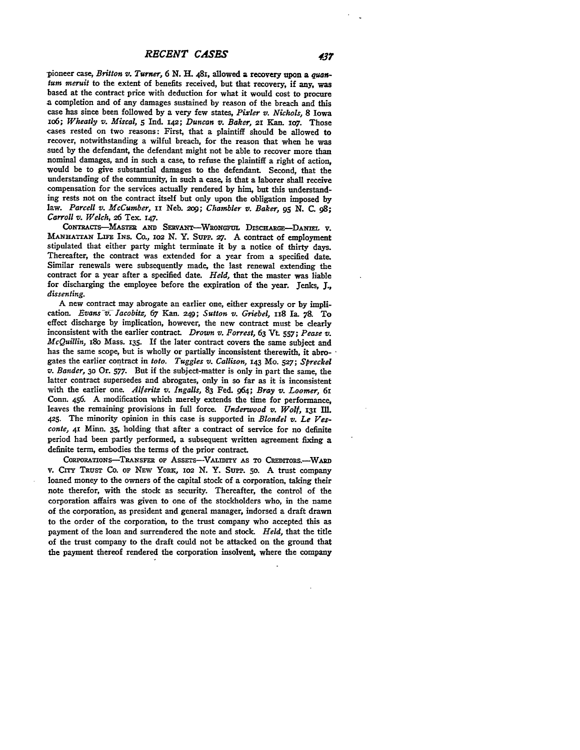pioneer case, *Britton v. Turner*, 6 N. H. 481, allowed a recovery upon a *quan-*<br> *tum meruit* to the extent of benefits received, but that recovery, if any, was based at the contract price with deduction for what it would cost to procure a completion and of any damages sustained **by** reason of the breach and this case has since been followed **by** a very few states, *Pixler v. Nichols,* **8** Iowa *io6; Wheatly v. Miscal,* **5 Ind. I1[2;** *Duncan v. Baker,* **21** Kan. **io7.** Those cases rested on two reasons: First, that a plaintiff should be allowed to recover, notwithstanding a wilful breach, for the reason that when he was sued **by** the defendant, the defendant might not be able to recover more than nominal damages, and in such a case, to refuse the plaintiff a right of action, would be to give substantial damages to the defendant. Second, that the understanding of the community, in such a case, is that a laborer shall receive compensation for the services actually rendered by him, but this understanding rests not on the contract itself but only upon the obligation imposed **by** law. *Parcell v. McCumber,* **ii** Neb. 2o9; *Chambler v. Baker, 95* **N. C. 98;** *Carroll v. Welch,* **26** Tex. 147.

CONTRACTS-MASTER AND SERVANT-WRONGFUL DISCHARGE-DANIEL V. MANHATTAN **Lim** INS. Co., **IO2 N.** Y. Susp. *27.* **A** contract of employment stipulated that either party might terminate it **by** a notice of thirty days. Thereafter, the contract was extended for a year from a specified date. Similar renewals were subsequently made, the last renewal extending the contract for a year after a specified date. *Held,* that the master was liable for discharging the employee before the expiration of the year. Jenks, **J.,** *dissenting.*

A new contract may abrogate an earlier one, either expressly or **by** implication. Evans v. Jacobitz, 67 Kan. 249; Sutton v. Griebel, 118 Ia. 78. To effect discharge by implication, however, the new contract must be dearly inconsistent with the earlier contract. *Drown v. Forrest,* **63** Vt **557;** *Pease v. McQuillin, iSo* Mass. **135.** If the later contract covers the same subject and has the same scope, but is wholly or partially inconsistent therewith, it abrogates the earlier contract in *toto. Tuggles v. Callison,* **143** Mo. **527;** *Spreckel v. Bander,* **30** Or. 577. But if the subject-matter is only in part the same, the latter contract supersedes and abrogates, only in so far as it is inconsistent with the earlier one. *Alferitz v. Ingalls,* 83 Fed. 964; *Bray v. Loomer, 61* Conn. 456. **A** modification which merely extends the time for performance, leaves the remaining provisions in full force. *Underwood v. Wolf, 131* Ill. **425.** The minority opinion in this case is supported in *Blondel v. Le Vesconte,* **41** Minn. **35,** holding that after a contract of service for no definite period had been partly performed, a subsequent written agreement **fixing** a definite term, embodies the terms of the prior contract

CORPORATIONS-TRANSFER OF ASSETS-VALIDITY AS TO CREDITORS.--- WARD v. **CITY TRUST** Co. OF **NEW** YORK, **Io2 N.** Y. SuPP. 5o. A trust company loaned money to the owners of the capital stock of a corporation, taking their note therefor, with the stock as security. Thereafter, the control of the corporation affairs was given to one of the stockholders who, in the name of the corporation, as president and general manager, indorsed a draft drawn to the order of the corporation, to the trust company who accepted this as payment of the loan and surrendered the note and stock. *Held,* that the title of the trust company to the draft could not be attacked on the ground that the payment thereof rendered the corporation insolvent, where the company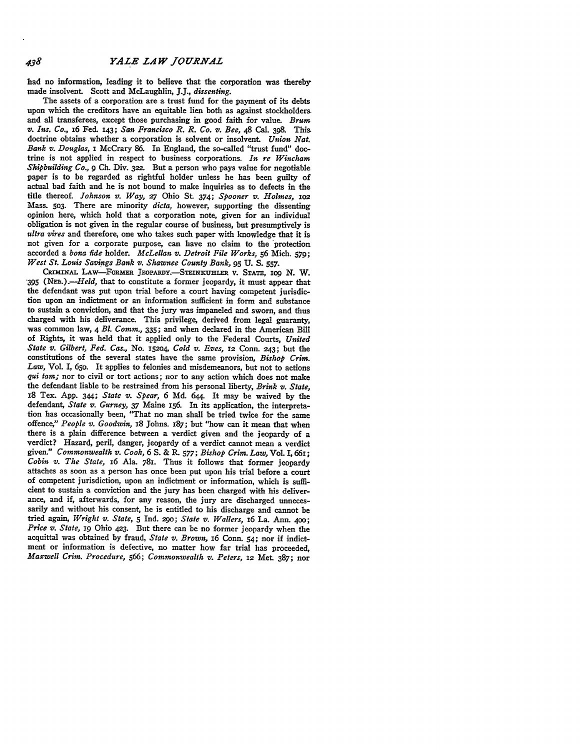had no information, leading it to believe that the corporation was thereby made insolvent. Scott and McLaughlin, **J.J.,** *dissenting.*

The assets of a corporation are a trust fund for the payment of its debts upon which the creditors have an equitable lien both as against stockholders.<br>and all transferees, except those purchasing in good faith for value. Brum and all transferees, except those purchasing in good faith for value. *Brum v. Ins. Co., 6* Fed. **143;** *San Francisco R. R. Co. v. Bee,* 48 Cal. **398.** This. doctrine obtains whether a corporation is solvent or insolvent. *Union Nat. Bank v. Douglas,* i McCrary **86.** In England, the so-called "trust fund" doctrine is not applied in respect to business corporations. *In re Wincham Shipbuilding Co., 9* **Ch.** Div. **322.** But a person who pays value for negotiable paper is to be regarded as rightful holder unless he has been guilty of actual bad faith and he is not bound to make inquiries as to defects in the title thereof. *Johnson v. Way,* **27** Ohio St 374; *Spooner v. Holmes, io2* Mass. **503.** There are minority *dicta,* however, supporting the dissenting opinion here, which hold that a corporation note, given for an individual obligation is not given in the regular course of business, but presumptively is *ultra vires* and therefore, one who takes such paper with knowledge that it is not given for a corporate purpose, can have no claim to the protection accorded a *bona fide* holder. *McLellan v. Detroit File Works,* **56** Mich. **579;** *West St. Louis Savings Bank v. Shawnee County Bank,* 95 **U. S. 557.**

CRIMINAL LAW-FORMER JEOPARDY.-STEINKUHLER V. STATE, 109 N. W. "395 *(NEB.).-Held,* that to constitute a former jeopardy, it must appear that the defendant was put upon trial before a court having competent jurisdiction upon an indictment or an information sufficient in form and substance to sustain a conviction, and that the jury was impaneled and sworn, and thus charged with his deliverance. This privilege, derived from legal guaranty, was common law, 4 *Bl. Comm.,* **335;** and when declared in the American Bill of Rights, it was held that it applied only to the Federal Courts, *United State v. Gilbert, Fed. Cas.,* No. 152o4, *Cold v. Eves,* **12** Conn. **243;** but the constitutions of the several states have the same provision, *Bishop Crim. Law,* Vol. I, 65o. It applies to felonies and misdemeanors, but not to actions *qui tam;* nor to civil or tort actions; nor to any action which does not make the defendant liable to be restrained from his personal liberty, *Brink v. State,* 18 Tex. **App.** 344; *State v. Spear,* 6 Md. 644. It may be waived **by** the defendant, *State v. Gurney,* **37** Maine I56. In its application, the interpretation has occasionally been, "That no man shall be tried twice for the same offence," *People v. Goodwin,* **I8** Johns. 187; but "how can it mean that when there is a plain difference between a verdict given and the jeopardy of a verdict? Hazard, peril, danger, jeopardy of a verdict cannot mean a verdict given." *Commonwealth v. Cook,* 6 *S.* & R. *577; Bishop Crim. Law,* Vol. I, 661; Cobin v. The State, 16 Ala. 781. Thus it follows that former jeopardy attaches as soon as a person has once been put upon his trial before a court of competent jurisdiction, upon an indictment or information, which is sufficient to sustain a conviction and the jury has been charged with his deliverance, and if, afterwards, for any reason, the jury are discharged unneces- sarily and without his consent, he is entitled to his discharge and cannot be tried again, *Wright v. State, 5* Ind. 29o; *State v. Wallers,* i6 La. Ann. **400;** *Price v. State,* **Ig** Ohio **423.** But there can be no former jeopardy when the acquittal was obtained **by** fraud, *State v. Brown,* 16 Conn. **54;** nor if indictment or information is defective, no matter how far trial has proceeded, *Maxwell Crim. Procedure,* 566; *Commonwealth v. Peters,* **12** Met. **387;** nor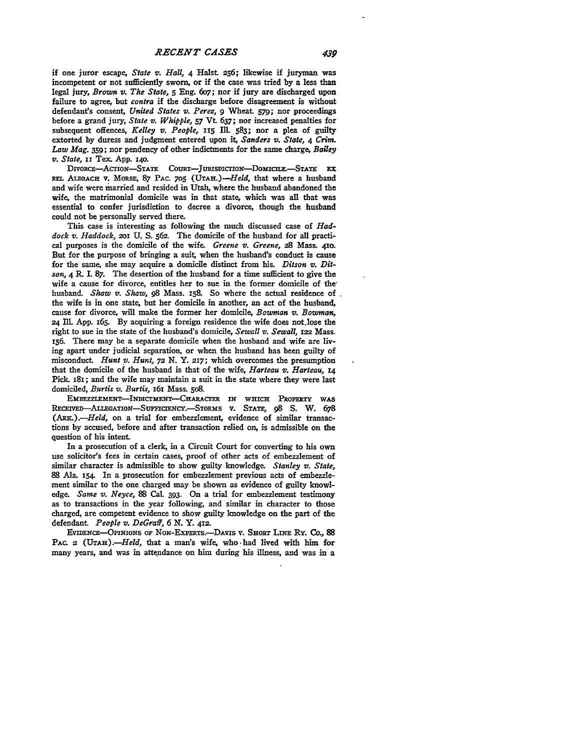if one juror escape, *State v. Hall,* 4 Halst. **256;** likewise if juryman was incompetent or not sufficiently sworn, or if the case was tried **by** a less than legal jury, *Brown v. The State,* **5** Eng. 6o7; nor if jury are discharged upon failure to agree, but *contra* if the discharge before disagreement is without defendant's consent, *United States v. Perez,* **9** Wheat. **579;** nor proceedings before a grand jury, *State v. Whipple,* **57** Vt **637;** nor increased penalties for subsequent offences, *Kelley v. People,* 115 Ill. **583;** nor a plea of guilty extorted **by** duress and judgment entered upon *it, Sanders v. State, 4 Crim. Law Mag.* **359;** nor pendency of other indictments for the same charge, *Bailey v. State, ix* Tex. **App. i4o.**

DIVORCE-ACTION-STATE COURT-JURISDICTION-DOMICILE.-STATE EX **Rl ALDRACH** v. MoRsE, **87** PAC. **705** *(UTAH.)-Held,* that where a husband and wife were married and resided in Utah, where the husband abandoned the wife, the matrimonial domicile was in that state, which was all that was essential to confer jurisdiction to decree a divorce, though the husband could not be personally served there.

This case is interesting as following the much discussed case of *Haddock v. Haddock, 2oi* **U. S. 562.** The domicile of the husband for all practical purposes is the domicile of the wife. *Greene v. Greene,* **28** Mass. **41o.** But for the purpose of bringing a suit, when the husband's conduct is cause for the same, she may acquire a domicile distinct from his. *Ditson v. Ditson,* 4 **R. I. 87.** The desertion of the husband for a time sufficient to give the wife a cause for divorce, entitles her to sue in the former domicile of thehusband. *Shaw v. Shaw, 98 Mass. 158. So where the actual residence of .* the wife is in one state, but her domicile in another, an act of the husband, cause for divorce, will make the former her domicile, *Bowman v. Bowman,* **24** IlL **App.** 165. **By** acquiring a foreign residence the wife does not.lose the right to sue in the state of the husband's domicile, *Sewall v. Sewall*, 122 Mass. 156. There may be a separate domicile when the husband and wife are living apart under judicial separation, or when the husband has been guilty of misconduct. *Hunt v. Hunt, 72 N.* Y. *217;* which overcomes the presumption that the domicile of the husband is that of the wife, *Harteau v. Harteau, <sup>14</sup>* Pick. i8I; and the wife may maintain a suit in the state where they were last domiciled, *B urtis v. Burtis,* 161 Mass. **5o8.**

EMBEZZLEMENT--INDICTMENT--CHARACTER IN WHICH PROPERTY WAS REcEIVED-ALEGATIoN-SUFFICIENCY.-STORMS V. STATE, **98 S.** W. **678** *(A..).--Held,* on a trial for embezzlement, evidence of similar transactions **by** accused, before and after transaction relied on, is admissible on the question of his intent.

In a prosecution of a clerk, in a Circuit Court for converting to his own use solicitor's fees in certain cases, proof of other acts of embezzlement of similar character is admissible to show guilty knowledge. *Stanley v. State,* **88** Ala. 154. In a prosecution for embezzlement previous acts of embezzlement similar to the one charged may be shown as evidence of guilty knowledge. *Same v. Neyce,* 88 Cal. **393.** On a trial for embezzlement testimony as to transactions in the year following, and similar in character to those charged, are competent evidence to show guilty knowledge on the part of the defendant. *People v. DeGraff, 6 N. Y.* **412.**

EVIDENCE-OPINIONS OF NON-EXPERTS.-DAVIS V. SHORT LINE RY. Co., 88 PAC. 2 *(UTAH).-Held, that a man's wife, who had lived with him for* many years, and was in attendance on him during his illness, and was in a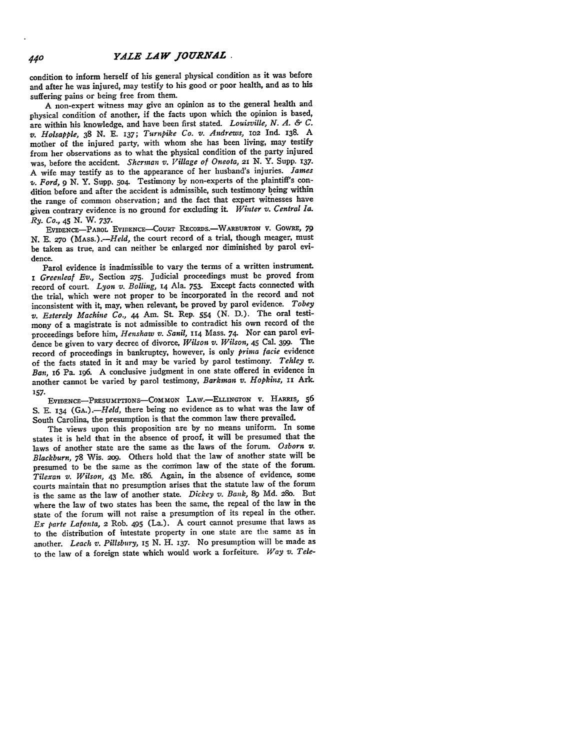condition to inform herself of his general physical condition as it was before and after he was injured, may testify to his good or poor health, and as to his suffering pains or being free from them.

A non-expert witness may give an opinion as to the general health and physical condition of another, if the facts upon which the opinion is based, are within his knowledge, and have been first stated. *Louisville, N. A. & C. v. Holsapple,* 38 N. E. **137;** *Turnpike Co. v. Andrews, io2* Ind. 138. A mother of the injured party, with whom she has been living, may testify from her observations as to what the physical condition of the party injured was, before the accident. *Sherman v. Village of Oneota, 21* N. Y. Supp. **137.** A wife may testify as to the appearance of her husband's injuries. *James* **v.** *Ford, 9* N. Y. Supp. 5o4. Testimony by non-experts of the plaintiff's condition before and after the accident is admissible, such testimony being within the range of common observation; and the fact that expert witnesses have given contrary evidence is no ground for excluding it. *Winter v. Central Ia. Ry. Co.,* 45 **N.** W. **737.**

**EVIDENCE-PAROL EVIDENCE-COURT** RECORD.-WARBURTON **V.** GOWRE, **79** N. E. 270 (MASS.).-*Held*, the court record of a trial, though meager, must be taken as true, and can neither be enlarged nor diminished **by** parol evidence.

Parol evidence is inadmissible to vary the terms of a written instrument. *<sup>I</sup>Greenleaf Ev.,* Section **275.** Judicial proceedings must be proved from record of court. *Lyon v. Bolling,* **14** Ala. **753.** Except facts connected with the trial, which were not proper to be incorporated in the record and not inconsistent with it, may, when relevant, be proved **by** parol evidence. *Tobey v. Esterely Machine Co., 44* Am. **St.** Rep. 554 **(N. D.).** The oral testimony of a magistrate is not admissible to contradict his own record of the proceedings before him, *Henshaw v. Sanil,* **114** Mass. 74. Nor can parol evidence be given to vary decree **of** divorce, *Wilson v. Wilson,* 45 Cal. **399.** The record of proceedings in bankruptcy, however, is only *prima facie* evidence of the facts stated in it and may be varied **by** parol testimony. *Tehley v. Ban,* 16 Pa. i96. **A** conclusive judgment in one state offered in evidence in another cannot be varied **by** parol testimony, *Barkman v. Hopkins, ii* **Ark. 157.**

EVIDENCE-PREUMPTIONS--COMMON LAw.-ELLINGTON V. **HARRIS, 56 S.** E. **134** *(GA.) .- Held,* there being no evidence as to what was the law of South Carolina, the presumption is that the common law there prevailed.

The views upon this proposition are **by** no means uniform. In some states it is held that in the absence of proof, it will be presumed that the laws of another state are the same as the laws of the forum. *Osborn v. Blackburn,* **78** Wis. 2og. Others hold that the law of another state will be presumed to be the same as the common law of the state of the forum. *Tilexan v. Wilson,* 43 Me. 186. Again, in the absence of evidence, some courts maintain that no presumption arises that the statute law of the forum is the same as the law of another state. *Dickey v. Bank, 89* **Md.** 28o. But where the law of two states has been the same, the repeal of the law in the state of the forum will not raise a presumption of its repeal in the other. *Ex parte Lafonta,* 2 Rob. 495 (La.). **A** court cannot presume that laws as to the distribution of intestate property in one state **are** the same as in another. *Leach v. Pillsbury,* 15 **N.** H. **137.** No presumption will be made as to the law of a foreign state which would work a forfeiture. *Way v. Tele-*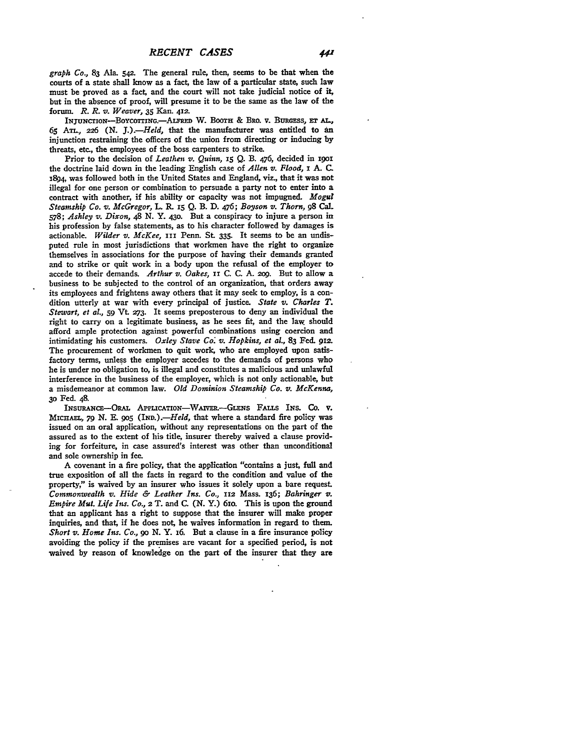*graph Co.,* **83** Ala. **542.** The general rule, then, seems to be that when the courts of a state shall know as a fact, the law of a particular state, such law must be proved as a fact, and the court will not take judicial notice of it, but in the absence of proof, will presume it to be the same as the law of the forum. *R. R. v. Weaver,* **35** Kan. **412.**

INJUNCTION--BOYCOTTING.-ALFRED W. BOOTH & BRO. V. BURGESS, ET AL., **65 ATL., 226 (N.** *J.).-Held,* that the manufacturer was entitled to an injunction restraining the officers of the union from directing or inducing **by** threats, etc., the employees of the boss carpenters to strike.

Prior to the decision of *Leathen v. Quinn,* **15 Q. B.** 476, decided in **igoi** the doctrine laid down in the leading English case of *Allen v. Flood, i* **A.** *C.* :894, was followed both in the United States and England, viz., that it was not illegal for one person or combination to persuade a party not to enter into a contract with another, if his ability or capacity was not impugned. *Mogul Steamship Co. v. McGregor,* L. R **i5** *Q.* B. **D.** 476; *Boyson v. Thorn,* **98** Cal. **578;** *Ashley v. Dixon,* 48 **N.** Y. 43o. But a conspiracy to injure a person in his profession **by** false statements, as to his character followed **by** damages is actionable. *Wilder v. McKee, iix* Penn. **St. 335.** It seems to be an undisputed rule in most jurisdictions that workmen have the right to organize themselves in associations for the purpose of having their demands granted and to strike or quit work in a body upon the refusal of the employer to accede to their demands. *Arthur v. Oakes,* **ii C. C. A.** 209. But to allow a business to be subjected to the control of an organization, that orders away its employees and frightens away others that it may seek to employ, is a condition utterly at war with every principal of justice. *State v. Charles T. Stewart, et al.,* 59 Vt **273.** It seems preposterous to deny an individual the right to carry on a legitimate business, as he sees fit, and the law should afford ample protection against powerful combinations using coercion and intimidating his customers. *Oxley Stave Co: v. Hopkins, et al.,* 83 Fed. 912. The procurement of workmen to quit work, who are employed upon satisfactory terms, unless the employer accedes to the demands of persons who he is under no obligation to, is illegal and constitutes a malicious and unlawful interference in the business of the employer, which is not only actionable, but a misdemeanor at common law. *Old Dominion Steamship Co. v. McKenna,* **3o** Fed. 48.

INSURANCE-ORAL APPLICATION-WAIVER-GLENS FALLS INS. Co. v. MICHAEL, 79 **N. E. 9o5** *(IND.).-Held,* that where a standard fire policy was issued on an oral application, without any representations on the part of the assured as to the extent of his title, insurer thereby waived a clause providing for forfeiture, in case assured's interest was other than unconditional and sole ownership in fee.

**A** covenant in a fire policy, that the application "contains a just, full and true exposition of all the facts in regard to the condition and value of the property," is waived **by** an insurer who issues it solely upon a bare request. *Commonwealth v. Hide & Leather Ins. Co.,* **12** Mass. 136; *Bahringer v. Empire Mut. Life Ins. Co.,* 2 T. and **C.** (N. Y.) 61o. This is upon the ground that an applicant has a right to suppose that the insurer will make proper inquiries, and that, if he does not, he waives information in regard to them. *Short v. Home Ins. Co., 9o* **N.** Y. 16. But a clause in a fire insurance policy avoiding the policy if the premises are vacant for a specified period, is not waived **by** reason of knowledge on the part of the insurer that they are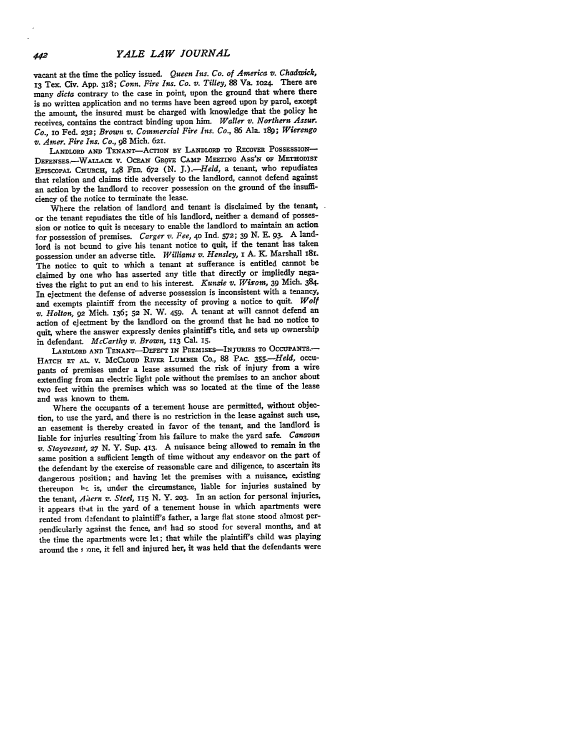vacant at the time the policy issued. *Queen Ins. Co. of America v. Chadwick,* **<sup>13</sup>**Tex. Civ. **App. 318;** *Conn. Fire Ins. Co. v. Tilley,* **88** Va. **1o24.** There are many *dicta* contrary to the case in point, upon the ground that where there is no written application and no terms have been agreed upon **by** parol, except the amount, the insured must be charged with knowledge that the policy he receives, contains the contract binding upon him. *Waller v. Northern Assur. Co.,* io Fed. **232;** *Brown v. Commercial Fire Ins. Co.,* **86** Ala. **E89;** *Wierengo v. Amer. Fire Ins. Co., 98* Mich. 621.

LANDLORD AND TENANT-ACTION BY LANDLORD TO RECOVER POSSESSION-**DEFENSES.-WALLACE** V. **OCEAN GROVE CAMP MEETING** Ass'N **OF METHODIST** EpiscoPAL CHuacH, 148 **FED. 672 (N.** *J.).-Held,* a tenant, who repudiates that relation and claims title adversely to the landlord, cannot defend against an action **by** the landlord to recover possession on the ground of the insufficiency of the notice to terminate the lease.

Where the relation of landlord and tenant is disclaimed **by** the tenant, or the tenant repudiates the title of his landlord, neither a demand of possession or notice to quit is necesary to enable the landlord to maintain an action for possession of premises. *Carger v. Fee,* **4o** Ind. **572;** 39 **N. E. 93. A** landlord is not bcund to give his tenant notice to quit, if the tenant has taken possession under an adverse title. *Williams v. Hensley,* **i A. K.** Marshall x8r. The notice to quit to which a tenant at sufferance is entitled cannot be claimed **by** one who has asserted any title that directly or impliedly negatives the right to put an end to his interest *Kunzie v. Wixom,* **39** Mich. 384. In ejectment the defense of adverse possession is inconsistent with a tenancy, and exempts plaintiff from the necessity of proving a notice to quit. *Wolf v. Holton,* 92 Mich. 136; **52** N. W. 459. **A** tenant at will cannot defend an action **of** ejectment by the landlord on the ground that he had no notice to quit, where the answer expressly denies plaintiff's title, and sets up ownership in defendant. *McCarthy v. Brown,* **113** Cal. **15.**

LANDLORD AND TENANT-DEFECT IN PREMISES-INJURIES TO OCCUPANTS. **HATCH ET AL. V. MCCLOUD** RvER LUMBER Co., **88** PAC. *355.-Held,* occupants of premises under a lease assumed the risk of injury from a wire extending from an electric light pole without the premises to an anchor about two feet within the premises which was so located at the time of the lease and was known to them.

Where the occupants of a terement house are permitted, without objection, to use the yard, and there is no restriction in the lease against such use, an easement is thereby created in favor of the tenant, and the landlord is liable for injuries resulting'from his failure to make the yard safe. *Canavan v. Stayvesant,* **27 N.** Y. **Sup.** 413. A nuisance being allowed to remain in the same position a sufficient length of time without any endeavor on the part of the defendant by the exercise of reasonable care and diligence, to ascertain its dangerous position; and having let the premises with a nuisance, existing thereupon **bi,** is, under the circumstance, liable for injuries sustained by the tenant, *Ahicrn v. Steel,* 115 N. Y. 203. In an action for personal injuries, it appears that in the yard of a tenement house in which apartments were rented from defendant to plaintiff's father, a large flat stone stood almost perpendicularly against the fence, and had so stood for several months, and at the time the apartments were let; that while the plaintiff's child was playing around the sone, it fell and injured her, it was held that the defendants were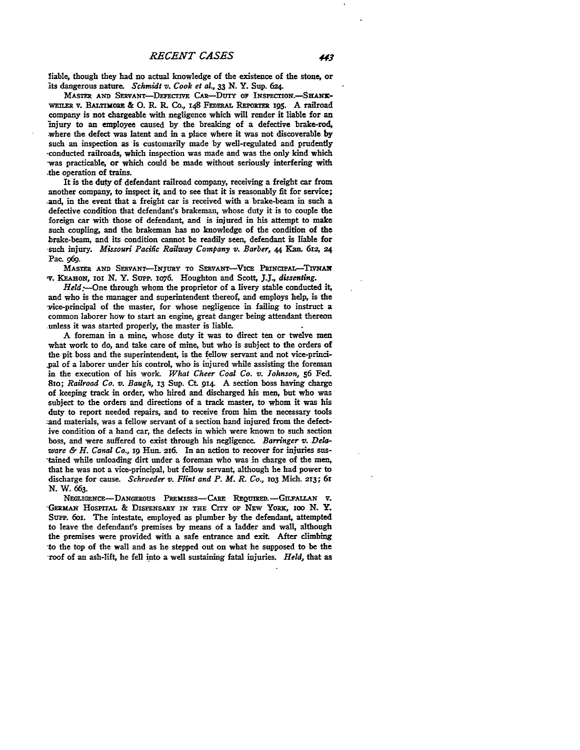liable, though they had no actual knowledge of the existence of the stone, or its dangerous nature. *Schmidt v. Cook et al.,* **33 N.** Y. Sup. 624.

MASTER AND SERVANT-DEFECTIVE CAR-DUTY OF INSPECTION.-SHANK-WEILER V. BALTIMORE & O. R. R. Co., 148 FEDERAL REPORTER 195. A railroad company is not chargeable with negligence which **will** render it liable for an injury to an employee caused **by** the breaking of a defective brake-rod, where the defect was latent and in a place where it was not discoverable **by** such an inspection as is customarily made **by** well-regulated and prudently -conducted railroads, which inspection was made and was the only kind which -was practicable, or which could be made without seriously interfering with .the operation of trains.

It is the duty of defendant railroad company, receiving a freight car from another company, to inspect *it,* and to see that it is reasonably fit for service; .and, in the event that a freight car is received with a brake-beam in such a defective condition that defendant's brakeman, whose duty it is to couple the foreign car with those of defendant, and is injured in his attempt to make such coupling, and the brakeman has no knowledge of the condition of the brake-beam, and its condition cannot be readily seen, defendant is liable for -such injury. *Missouri Pacific Railway Company v. Barber, 44* Kan. *612,* 24 Pac. **969.**

MASTER AND SERVANT-INJURY TO SERVANT-VICE PRINCIPAL-TIVNAN **T'.** KEAHON, **Ioi N.** Y. **Supp. io76.** Houghton and Scott, **J.J.,** *dissenting.*

*Held.-One* through whom the proprietor of a livery stable conducted it, and who is the manager and superintendent thereof, and employs help, is the vice-principal of the master, for whose negligence in failing to instruct a common laborer how to start an engine, great danger being attendant thereon .unless it was started properly, the master is liable.

**A** foreman in a mine, whose duty it was to direct ten or twelve men what work to do, and take care of mine, but who is subject to the orders of the pit boss and the superintendent, is the fellow servant and not vice-princi- ,pal of a laborer under his control, who is injured while assisting the foreman in the execution of his work. *What Cheer Coal Co. v. 1ohnson,* **56** Fed. 81o; *Railroad Co. v. Baugh, i3* Sup. Ct **914.** A section boss having charge of keeping track in order, who hired and discharged his men, but who was subject to the orders and directions of a track master, to whom it was his duty to report needed repairs, and to receive from him the necessary tools :and materials, was a fellow servant of a section hand injured from the defective condition of a hand car, the defects in which were known to such section boss, and were suffered to exist through his negligence. *Barringer v. Delaware & H. Canal Co., ig* Hun. 216. In an action to recover for injuries sus- •tained while unloading dirt under a foreman who was in charge of the men, that he was not a vice-principal, but fellow servant, although he had power to discharge for cause. *Schroeder v. Flint and P. M. R. Co.,* 103 Mich. **2r3;** 61 **N.** W. **663.**

NEGLIGENCE-DANGEROUS PREMISES-CARE REQUIRED.-GILFALLAN V. -GERmAN HosPITAL **&** DISPENSARY **m THE** CrrY OF NEw YoRK, ioo **N.** Y. Supp. 6o. The intestate, employed as plumber **by** the defendant, attempted to leave the defendant's premises **by** means of a ladder and wall, although the premises were provided with a safe entrance and exit After climbing -to the top of the wall and as he stepped out on what he supposed to be the -roof of an ash-lift, he fell into a well sustaining fatal injuries. *Held,* that as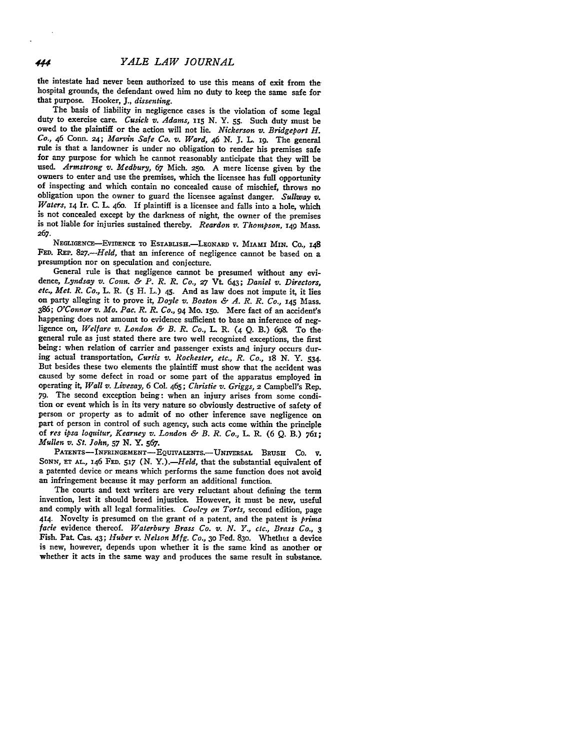the intestate had never been authorized to use this means of exit from the hospital grounds, the defendant owed him no duty to keep the same safe for that purpose. Hooker, J., *dissenting.*

The basis of liability in negligence cases is the violation of some legal duty to exercise care. *Cusick v. Adams, 115* N. Y. **55.** Such duty must be owed to the plaintiff or the action will not lie. *Nickerson v. Bridgeport H. Co.,* 46 Conn. **24;** *Marvin Safe Co. v. Ward,* 46 **N. J.** L. ig. The general rule is that a landowner is under no obligation to render his premises safe for any purpose for which he cannot reasonably anticipate that they will be used. *Armstrong v. Medbury,* 67 Mich. 250. A mere license given by the owners to enter and use the premises, which the licensee has full opportunity of inspecting and which contain no concealed cause of mischief, throws n obligation upon the owner to guard the licensee against danger. Sullway  $v$ . Waters, 14 Ir. C. L. 460. If plaintiff is a licensee and falls into a hole, which is not concealed except **by** the darkness of night, the owner of the premises is not liable for injuries sustained thereby. *Reardon v. Thompson,* 149 Mass. 267.

**NEGLIGENcE-EvIDENCE** To **ESTABLISH.-LEONARD V. MIAMI** MIN. Co., 148 *FED. REP. 827.-Held,* that an inference of negligence cannot be based on a presumption nor on speculation and conjecture.

General rule is that negligence cannot be presumed without any evidence, *Lyndsay v. Conn. & P. R. R. Co.,* **27** Vt. 643; *Daniel v. Directors, etc., Met. R. Co.,* L. R. (5 H. L.) 45. And as law does not impute it, it lies on party alleging it to prove it, *Doyle v. Boston & A. R. R. Co.,* **145** Mass. *386; O'Connor v. Mo. Pac. R. R. Co.,* 94 Mo. I5o. Mere fact of an accident's happening does not amount to evidence sufficient to base an inference of negligence on, *Welfare v. London & B. R. Co.,* L. R. (4 **Q.** B.) **698.** To the. general rule as just stated there are two well recognized exceptions, the first being: when relation of carrier and passenger exists and injury occurs during actual transportation, *Curtis v. Rochester, etc., R. Co., 18* **N. Y.** 534. But besides these two elements the plaintiff must show that the accident was caused by some defect in road or some part of the apparatus employed in operating it, *Wall v. Livezay,* 6 Col. 465; *Christie v. Griggs,* 2 Campbell's Rep. 79. The second exception being: when an injury arises from some condition or event which is in its very nature so obviously destructive of safety of person or property as to admit of no other inference save negligence on part of person in control of such agency, such acts come within the principle of *res ipsa loquitur, Kearney v. London & B. R. Co.,* L. R. **(6 Q.** B.) 761; *Mullen v. St. John, 57 N.* Y. **567.**

PATENTS-INFRINGEMENT-EQUIVALENTS.-- UNIVERSAL BRUSH Co. v. SONN, ET AL., 146 FED. 517 (N. Y.).—Held, that the substantial equivalent of a patented device or means which performs the same function does not avoid an infringement because it may perform an additional function.

The courts and text writers are very reluctant about defining the term invention, lest it should breed injustice. However, it must be new, useful and comply with all legal formalities. *Cooley on Torts,* second edition, page **414.** Novelty is presumed on the grant of a patent, and the patent is *prima rae* evidence thereof. *Waterbury Brass Co. v. N. K., ctc., Brass Co., <sup>3</sup>* Fish. Pat. Cas. 43; *lHuber ,. Nelson Mfg. Co.,* 3o Fed. 830. Whether a device is new, however, depends upon whether it is the same kind as another or whether it acts in the same way and produces the same result in substance.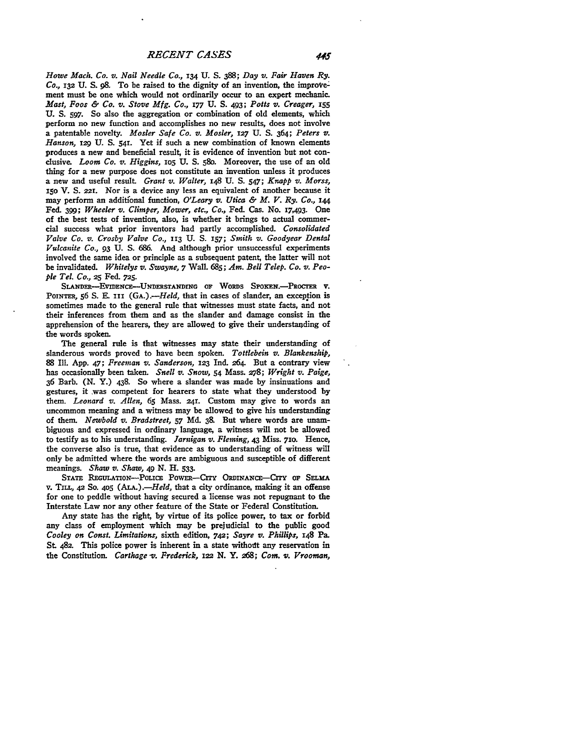*Howe Mack. Co. v. Nail Needle Co., x34* **U.** *S.* **388;** *Day v. Fair Haven Ry. Co.*, 132 U. S. 98. To be raised to the dignity of an invention, the improvement must **be** one which would not ordinarily occur to an expert mechanic. *Mast, Foos & Co. v. Stove Mfg. Co.,* **177 U. S.** *493; Potts v. Creager, <sup>155</sup>* **U. S. 597.** So also the aggregation or combination of old elements, which perform no new function and accomplishes no new results, does not involve a patentable novelty. *Mosler Safe Co. v. Mosler,* **127 U. S.** 364; *Peters v. Hanson,* **129 U. S. 541.** Yet if such a new combination of known elements produces a new and beneficial result, it is evidence of invention but not conclusive. *Loom Co. v. Higgins,* **Io5 U. S.** 58o. Moreover, the use of an old thing for a new purpose does not constitute an invention unless it produces a new and useful result. *Grant v. Walter,* **148 U. S.** 547; *Knapp v. Morss,* **i5o** V. **S. 221.** Nor is a device any less an equivalent of another because it may perform an additfonal function, *O'Leary v. Utica & M. V. Ry. Co., 144* Fed. 399; *Wheeler v. Climper, Mower, etc., Co.,* Fed. Cas. No. **17,493.** One of the best tests of invention, also, is whether it brings to actual commercial success what prior inventors had partly accomplished. *Consolidated Valve Co. v. Crosby Valve Co.,* **113 U. S.** *I57; Smith v. Goodyear Dental Vulcanite Co.,* **93 U. S. 686.** And although prior unsuccessful experiments involved the same idea or principle as a subsequent patent, the latter will not be invalidated. *Whitelys v. Swayne,* **7** Wall. **685;** *Am. Bell Telep. Co. v. People Tel. Co.,* **25** Fed. **725.**

SLANDER-EVIDENCE-UNDERSTANDING OF WORDS SPOKEN.-PROCTER V. POINTER, 56 S. E. III (GA.).--Held, that in cases of slander, an exception is sometimes made to the general rule that witnesses must state facts, and not their inferences from them and as the slander and damage consist in the apprehension of the hearers, they are allowed to give their understanding of the words spoken.

The general rule is that witnesses may state their understanding of slanderous words proved to have been spoken. *Tottlebein v. Blankenship,* **88 Ill. App.** 47; *Freeman v. Sanderson,* **123** Ind. 264. But a contrary view has occasionally been taken. *Snell v. Snow,* 54 Mass. **278;** *Wright v. Paige,* 36 Barb. **(N.** Y.) 438. So where a slander was made **by** insinuations and gestures, it was competent for hearers to state what they understood **by** them. *Leonard v. Allen,* **65** Mass. **24r.** Custom may give to words an uncommon meaning and a witness may be allowed to give his understanding of them. *Newbold v. Bradstreet,* **57 Md. 38.** But where words are unambiguous and expressed in ordinary language, a witness will not be allowed to testify as to his understanding. *Jarnigan v. Fleming, 43* Miss. **7zo.** Hence, the converse also is true, that evidence as to understanding of witness will only be admitted where the words are ambiguous and susceptible of different meanings. *Shaw v. Shaw,* 49 **N.** H. **533.**

**STATE REGULATION-POLIcE** PowER-CrTY **ORDINANcE-CITY OF SELMA** v. Tim, *42* So. **4o5** *(ALA.).-Held,* that a city ordinance, making it an offense for one to peddle without having secured a license was not repugnant to the Interstate Law nor any other feature of the State or Federal Constitution.

Any state has the right, **by** virtue of its police power, to tax or forbid any class of employment which may be prejudicial to the public good *Cooley on Const. Limitations,* sixth edition, **742;** *Sayre v. Phillips,* 148 Pa. St. 482. This police power is inherent in a state without any reservation in the Constitution. *Carthage -v. Frederick, x22* **N.** Y. **268;** *Corn. v. Vrooman,*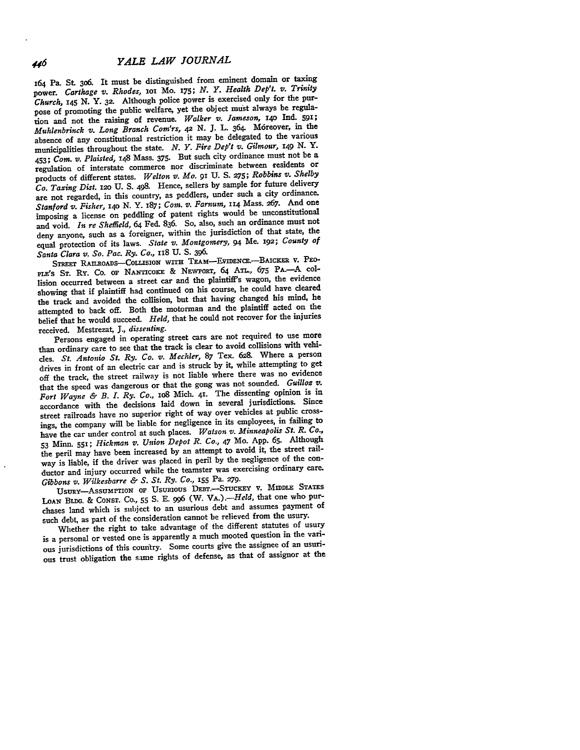*446 YALE LAW JOURNAL*

164 Pa. St 3o6. It must be distinguished from eminent domain or taxing power. *Carthage v. Rhodes,* **io** Mo. **I75;** *N. Y. Health Dept. v. Trinity Church, i45* **N. Y. 32.** Although police power is exercised only for the purpose of promoting the public welfare, yet the object must always be regulation and not the raising of revenue. *Walker v. Jameson,* **i4o** Ind. 591; *Muhlenbrinck v. Long Branch Com'rs, 42* **N. J.** L. 364. M6reover, in the absence of any constitutional restriction it may be delegated to the various municipalities throughout the state. *N. Y. Fire Dep't v. Gilmour, 149* **N.** Y. *453;* Com. *v. Plaisted,* 148 Mass. **375.** But such city ordinance must not be a regulation of interstate commerce nor discriminate between residents or products of different states. *Welton v. Mo.* **9x** U. S. **275;** *Robbins v. Shelby Co. Taxing Dist. 12o* U. S. 498. Hence, sellers **by** sample for future delivery are not regarded, in this country, as peddlers, under such a city ordinance. *Stanford v. Fisher, 14o* **N.** Y. 187; *Com. v. Farnum,* **114** Mass. **267.** And one imposing a license on peddling of patent rights would be unconstitutional and void. *In re Sheffield,* 64 Fed. 836. So, also, such an ordinance must not deny anyone, such as a foreigner, within the jurisdiction of that state, the equal protection of its laws. *State v. Montgomery,* 94 Me. 192; *County of Santa Clara v. So. Pac. Ry. Co.,* iT8 **U. S. 396.**

STREET RAILROADS-COLLISION WITH TEAM-EVIDENCE.-BAICKER **V.** PEO-**PIE'S ST.** Ry. **Co.** op NANTICOKE **&** NEWPORT, 64 Am, **675 PA.-A** collision occurred between a street car and the plaintiff's wagon, the evidence showing that if plaintiff had continued on his course, he could have cleared the track and avoided the collision, but that having changed his mind, he attempted to back off. Both the motorman and the plaintiff acted on the belief that he would succeed. *Held,* that he could not recover for the injuries received. Mestrezat, **J.,** *dissenting.*

Persons engaged in operating street cars are not required to use more than ordinary care to see that the track is clear to avoid collisions with vehicles. *St. Antonio St. Ry. Co. v. Mechler,* **87** Tex. 628. Where a person drives in front of an electric car and is struck **by** it, while attempting to get off the track, the street railway is not liable where there was no evidence that the speed was dangerous or that the gong was not sounded. *Guilloz v. Fort Wayne & B. L Ry. Co.,* io8 Mich. **41.** The dissenting opinion is in accordance with the decisions laid down in several jurisdictions. Since street railroads have no superior right of way over vehicles at public crossings, the company will be liable for negligence in its employees, in failing to have the car under control at such places. *Watson v. Minneapolis St. R. Co.,* **53** Minn. **551;** *Hickman v. Union Depot R. Co.,* 47 Mo. **App. 65.** Although the peril may have been increased **by** an attempt to avoid **it,** the street railway is liable, if the driver was placed in peril **by** the negligence of the conductor and injury occurred while the teamster was exercising ordinary care. *Gibbons v. Wilkesbarre & S. St. Ry. Co.,* **155** Pa. **279.**

USURY-ASSUMPTION OF USURIOUS DEET.-STUCKEY **v.** MIDDLE STATES LOAN BLD;. **& CONST. Co., 55 S. E. 996** (W. *VA.).-Held,* that one who purchases land which is subject to an usurious debt and assumes payment of such debt, as part of the consideration cannot be relieved from the usury.

Whether the right to take advantage of the different statutes of usury is a personal or vested one is apparently a much mooted question in the various jurisdictions of this country. Some courts give the assignee of an usuri**ous** trust obligation the smne rights of defense, as that of assignor at the